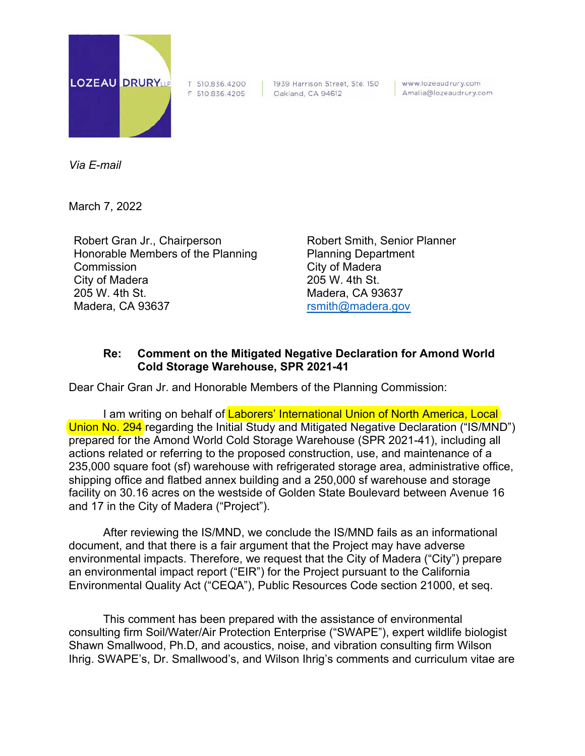

T 510.836.4200

F 510.836.4205 Oakland, CA 94612 1939 Harrison Street, Ste. 150 www.lozeaudrury.com Amalia@lozeaudrury.com

*Via E-mail* 

March 7, 2022

Robert Gran Jr., Chairperson Honorable Members of the Planning **Commission** City of Madera 205 W. 4th St. Madera, CA 93637

Robert Smith, Senior Planner Planning Department City of Madera 205 W. 4th St. Madera, CA 93637 rsmith@madera.gov

## **Re: Comment on the Mitigated Negative Declaration for Amond World Cold Storage Warehouse, SPR 2021-41**

Dear Chair Gran Jr. and Honorable Members of the Planning Commission:

I am writing on behalf of Laborers' International Union of North America, Local Union No. 294 regarding the Initial Study and Mitigated Negative Declaration ("IS/MND") prepared for the Amond World Cold Storage Warehouse (SPR 2021-41), including all actions related or referring to the proposed construction, use, and maintenance of a 235,000 square foot (sf) warehouse with refrigerated storage area, administrative office, shipping office and flatbed annex building and a 250,000 sf warehouse and storage facility on 30.16 acres on the westside of Golden State Boulevard between Avenue 16 and 17 in the City of Madera ("Project").

After reviewing the IS/MND, we conclude the IS/MND fails as an informational document, and that there is a fair argument that the Project may have adverse environmental impacts. Therefore, we request that the City of Madera ("City") prepare an environmental impact report ("EIR") for the Project pursuant to the California Environmental Quality Act ("CEQA"), Public Resources Code section 21000, et seq.

This comment has been prepared with the assistance of environmental consulting firm Soil/Water/Air Protection Enterprise ("SWAPE"), expert wildlife biologist Shawn Smallwood, Ph.D, and acoustics, noise, and vibration consulting firm Wilson Ihrig. SWAPE's, Dr. Smallwood's, and Wilson Ihrig's comments and curriculum vitae are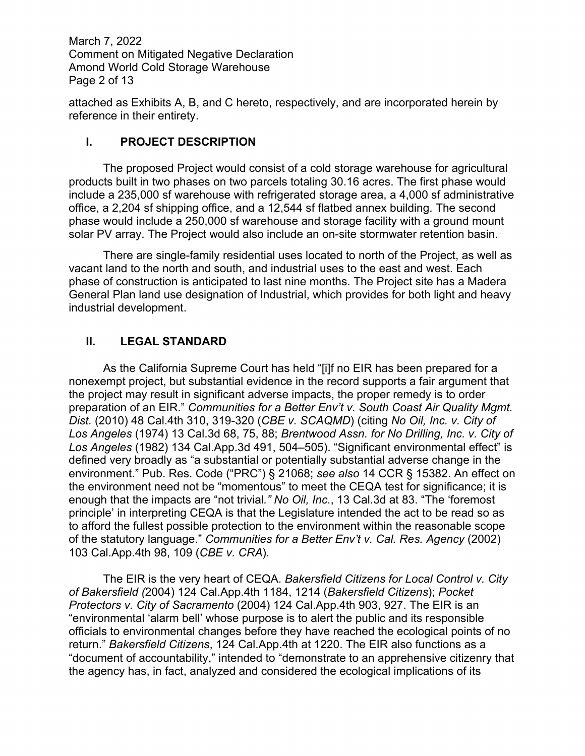March 7, 2022 Comment on Mitigated Negative Declaration Amond World Cold Storage Warehouse Page 2 of 13

attached as Exhibits A, B, and C hereto, respectively, and are incorporated herein by reference in their entirety.

## **I. PROJECT DESCRIPTION**

The proposed Project would consist of a cold storage warehouse for agricultural products built in two phases on two parcels totaling 30.16 acres. The first phase would include a 235,000 sf warehouse with refrigerated storage area, a 4,000 sf administrative office, a 2,204 sf shipping office, and a 12,544 sf flatbed annex building. The second phase would include a 250,000 sf warehouse and storage facility with a ground mount solar PV array. The Project would also include an on-site stormwater retention basin.

There are single-family residential uses located to north of the Project, as well as vacant land to the north and south, and industrial uses to the east and west. Each phase of construction is anticipated to last nine months. The Project site has a Madera General Plan land use designation of Industrial, which provides for both light and heavy industrial development.

# **II. LEGAL STANDARD**

As the California Supreme Court has held "[i]f no EIR has been prepared for a nonexempt project, but substantial evidence in the record supports a fair argument that the project may result in significant adverse impacts, the proper remedy is to order preparation of an EIR." *Communities for a Better Env't v. South Coast Air Quality Mgmt. Dist.* (2010) 48 Cal.4th 310, 319-320 (*CBE v. SCAQMD*) (citing *No Oil, Inc. v. City of Los Angeles* (1974) 13 Cal.3d 68, 75, 88; *Brentwood Assn. for No Drilling, Inc. v. City of Los Angeles* (1982) 134 Cal.App.3d 491, 504–505). "Significant environmental effect" is defined very broadly as "a substantial or potentially substantial adverse change in the environment." Pub. Res. Code ("PRC") § 21068; *see also* 14 CCR § 15382. An effect on the environment need not be "momentous" to meet the CEQA test for significance; it is enough that the impacts are "not trivial*." No Oil, Inc.*, 13 Cal.3d at 83. "The 'foremost principle' in interpreting CEQA is that the Legislature intended the act to be read so as to afford the fullest possible protection to the environment within the reasonable scope of the statutory language." *Communities for a Better Env't v. Cal. Res. Agency* (2002) 103 Cal.App.4th 98, 109 (*CBE v. CRA*).

The EIR is the very heart of CEQA. *Bakersfield Citizens for Local Control v. City of Bakersfield (*2004) 124 Cal.App.4th 1184, 1214 (*Bakersfield Citizens*); *Pocket Protectors v. City of Sacramento* (2004) 124 Cal.App.4th 903, 927. The EIR is an "environmental 'alarm bell' whose purpose is to alert the public and its responsible officials to environmental changes before they have reached the ecological points of no return." *Bakersfield Citizens*, 124 Cal.App.4th at 1220. The EIR also functions as a "document of accountability," intended to "demonstrate to an apprehensive citizenry that the agency has, in fact, analyzed and considered the ecological implications of its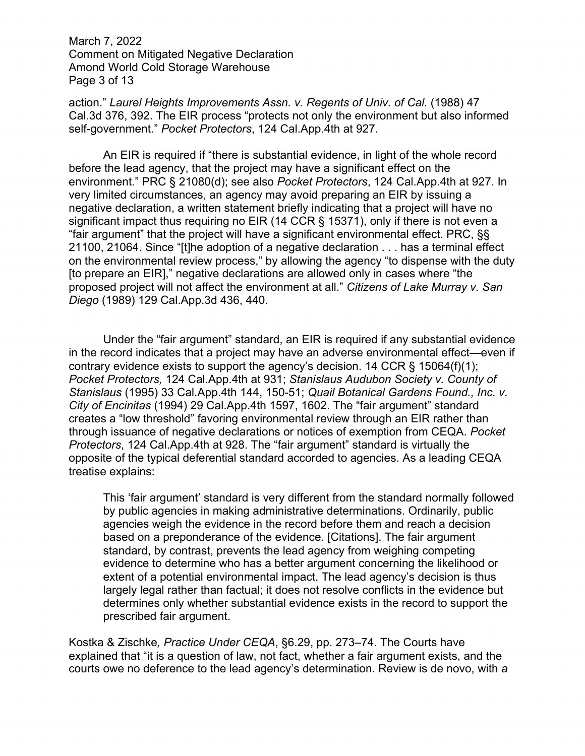March 7, 2022 Comment on Mitigated Negative Declaration Amond World Cold Storage Warehouse Page 3 of 13

action." *Laurel Heights Improvements Assn. v. Regents of Univ. of Cal.* (1988) 47 Cal.3d 376, 392. The EIR process "protects not only the environment but also informed self-government." *Pocket Protectors*, 124 Cal.App.4th at 927.

An EIR is required if "there is substantial evidence, in light of the whole record before the lead agency, that the project may have a significant effect on the environment." PRC § 21080(d); see also *Pocket Protectors*, 124 Cal.App.4th at 927. In very limited circumstances, an agency may avoid preparing an EIR by issuing a negative declaration, a written statement briefly indicating that a project will have no significant impact thus requiring no EIR (14 CCR § 15371), only if there is not even a "fair argument" that the project will have a significant environmental effect. PRC, §§ 21100, 21064. Since "[t]he adoption of a negative declaration . . . has a terminal effect on the environmental review process," by allowing the agency "to dispense with the duty [to prepare an EIR]," negative declarations are allowed only in cases where "the proposed project will not affect the environment at all." *Citizens of Lake Murray v. San Diego* (1989) 129 Cal.App.3d 436, 440.

Under the "fair argument" standard, an EIR is required if any substantial evidence in the record indicates that a project may have an adverse environmental effect—even if contrary evidence exists to support the agency's decision. 14 CCR  $\S$  15064(f)(1); *Pocket Protectors,* 124 Cal.App.4th at 931; *Stanislaus Audubon Society v. County of Stanislaus* (1995) 33 Cal.App.4th 144, 150-51; *Quail Botanical Gardens Found., Inc. v. City of Encinitas* (1994) 29 Cal.App.4th 1597, 1602. The "fair argument" standard creates a "low threshold" favoring environmental review through an EIR rather than through issuance of negative declarations or notices of exemption from CEQA. *Pocket Protectors*, 124 Cal.App.4th at 928. The "fair argument" standard is virtually the opposite of the typical deferential standard accorded to agencies. As a leading CEQA treatise explains:

This 'fair argument' standard is very different from the standard normally followed by public agencies in making administrative determinations. Ordinarily, public agencies weigh the evidence in the record before them and reach a decision based on a preponderance of the evidence. [Citations]. The fair argument standard, by contrast, prevents the lead agency from weighing competing evidence to determine who has a better argument concerning the likelihood or extent of a potential environmental impact. The lead agency's decision is thus largely legal rather than factual; it does not resolve conflicts in the evidence but determines only whether substantial evidence exists in the record to support the prescribed fair argument.

Kostka & Zischke*, Practice Under CEQA*, §6.29, pp. 273–74. The Courts have explained that "it is a question of law, not fact, whether a fair argument exists, and the courts owe no deference to the lead agency's determination. Review is de novo, with *a*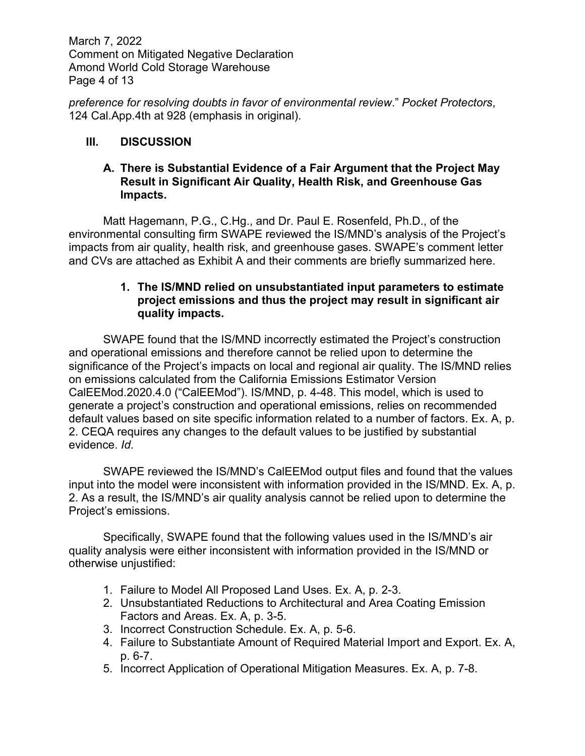March 7, 2022 Comment on Mitigated Negative Declaration Amond World Cold Storage Warehouse Page 4 of 13

*preference for resolving doubts in favor of environmental review*." *Pocket Protectors*, 124 Cal.App.4th at 928 (emphasis in original).

# **III. DISCUSSION**

#### **A. There is Substantial Evidence of a Fair Argument that the Project May Result in Significant Air Quality, Health Risk, and Greenhouse Gas Impacts.**

Matt Hagemann, P.G., C.Hg., and Dr. Paul E. Rosenfeld, Ph.D., of the environmental consulting firm SWAPE reviewed the IS/MND's analysis of the Project's impacts from air quality, health risk, and greenhouse gases. SWAPE's comment letter and CVs are attached as Exhibit A and their comments are briefly summarized here.

## **1. The IS/MND relied on unsubstantiated input parameters to estimate project emissions and thus the project may result in significant air quality impacts.**

SWAPE found that the IS/MND incorrectly estimated the Project's construction and operational emissions and therefore cannot be relied upon to determine the significance of the Project's impacts on local and regional air quality. The IS/MND relies on emissions calculated from the California Emissions Estimator Version CalEEMod.2020.4.0 ("CalEEMod"). IS/MND, p. 4-48. This model, which is used to generate a project's construction and operational emissions, relies on recommended default values based on site specific information related to a number of factors. Ex. A, p. 2. CEQA requires any changes to the default values to be justified by substantial evidence. *Id*.

SWAPE reviewed the IS/MND's CalEEMod output files and found that the values input into the model were inconsistent with information provided in the IS/MND. Ex. A, p. 2. As a result, the IS/MND's air quality analysis cannot be relied upon to determine the Project's emissions.

Specifically, SWAPE found that the following values used in the IS/MND's air quality analysis were either inconsistent with information provided in the IS/MND or otherwise unjustified:

- 1. Failure to Model All Proposed Land Uses. Ex. A, p. 2-3.
- 2. Unsubstantiated Reductions to Architectural and Area Coating Emission Factors and Areas. Ex. A, p. 3-5.
- 3. Incorrect Construction Schedule. Ex. A, p. 5-6.
- 4. Failure to Substantiate Amount of Required Material Import and Export. Ex. A, p. 6-7.
- 5. Incorrect Application of Operational Mitigation Measures. Ex. A, p. 7-8.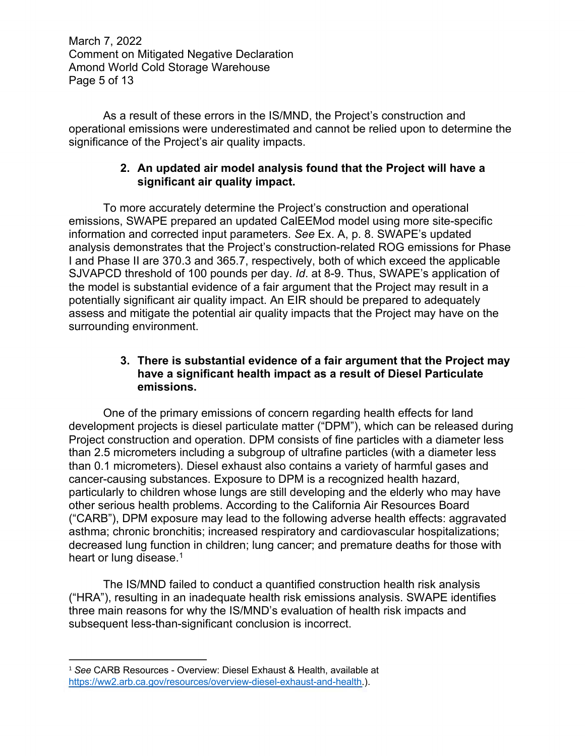March 7, 2022 Comment on Mitigated Negative Declaration Amond World Cold Storage Warehouse Page 5 of 13

As a result of these errors in the IS/MND, the Project's construction and operational emissions were underestimated and cannot be relied upon to determine the significance of the Project's air quality impacts.

## **2. An updated air model analysis found that the Project will have a significant air quality impact.**

To more accurately determine the Project's construction and operational emissions, SWAPE prepared an updated CalEEMod model using more site-specific information and corrected input parameters. *See* Ex. A, p. 8. SWAPE's updated analysis demonstrates that the Project's construction-related ROG emissions for Phase I and Phase II are 370.3 and 365.7, respectively, both of which exceed the applicable SJVAPCD threshold of 100 pounds per day. *Id*. at 8-9. Thus, SWAPE's application of the model is substantial evidence of a fair argument that the Project may result in a potentially significant air quality impact. An EIR should be prepared to adequately assess and mitigate the potential air quality impacts that the Project may have on the surrounding environment.

#### **3. There is substantial evidence of a fair argument that the Project may have a significant health impact as a result of Diesel Particulate emissions.**

One of the primary emissions of concern regarding health effects for land development projects is diesel particulate matter ("DPM"), which can be released during Project construction and operation. DPM consists of fine particles with a diameter less than 2.5 micrometers including a subgroup of ultrafine particles (with a diameter less than 0.1 micrometers). Diesel exhaust also contains a variety of harmful gases and cancer-causing substances. Exposure to DPM is a recognized health hazard, particularly to children whose lungs are still developing and the elderly who may have other serious health problems. According to the California Air Resources Board ("CARB"), DPM exposure may lead to the following adverse health effects: aggravated asthma; chronic bronchitis; increased respiratory and cardiovascular hospitalizations; decreased lung function in children; lung cancer; and premature deaths for those with heart or lung disease.<sup>1</sup>

The IS/MND failed to conduct a quantified construction health risk analysis ("HRA"), resulting in an inadequate health risk emissions analysis. SWAPE identifies three main reasons for why the IS/MND's evaluation of health risk impacts and subsequent less-than-significant conclusion is incorrect.

<sup>1</sup> *See* CARB Resources - Overview: Diesel Exhaust & Health, available at https://ww2.arb.ca.gov/resources/overview-diesel-exhaust-and-health.).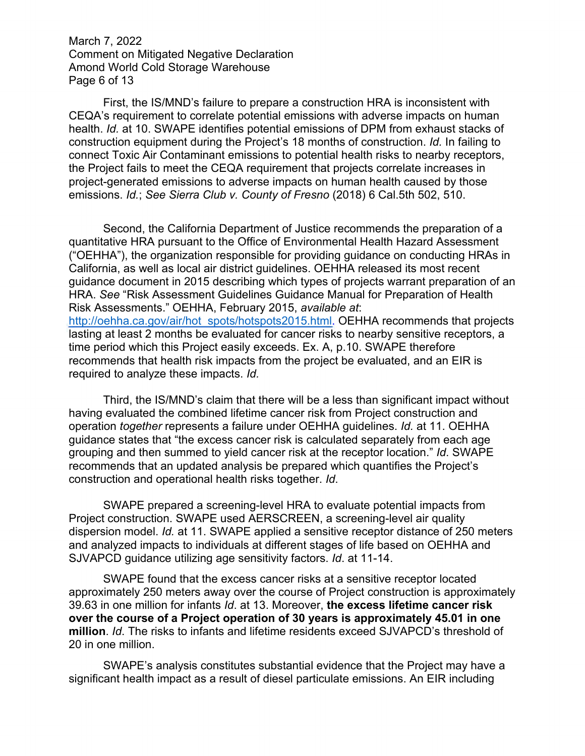March 7, 2022 Comment on Mitigated Negative Declaration Amond World Cold Storage Warehouse Page 6 of 13

First, the IS/MND's failure to prepare a construction HRA is inconsistent with CEQA's requirement to correlate potential emissions with adverse impacts on human health. *Id.* at 10. SWAPE identifies potential emissions of DPM from exhaust stacks of construction equipment during the Project's 18 months of construction. *Id.* In failing to connect Toxic Air Contaminant emissions to potential health risks to nearby receptors, the Project fails to meet the CEQA requirement that projects correlate increases in project-generated emissions to adverse impacts on human health caused by those emissions. *Id.*; *See Sierra Club v. County of Fresno* (2018) 6 Cal.5th 502, 510.

Second, the California Department of Justice recommends the preparation of a quantitative HRA pursuant to the Office of Environmental Health Hazard Assessment ("OEHHA"), the organization responsible for providing guidance on conducting HRAs in California, as well as local air district guidelines. OEHHA released its most recent guidance document in 2015 describing which types of projects warrant preparation of an HRA. *See* "Risk Assessment Guidelines Guidance Manual for Preparation of Health Risk Assessments." OEHHA, February 2015, *available at*: http://oehha.ca.gov/air/hot spots/hotspots2015.html. OEHHA recommends that projects lasting at least 2 months be evaluated for cancer risks to nearby sensitive receptors, a time period which this Project easily exceeds. Ex. A, p.10. SWAPE therefore recommends that health risk impacts from the project be evaluated, and an EIR is required to analyze these impacts. *Id.*

Third, the IS/MND's claim that there will be a less than significant impact without having evaluated the combined lifetime cancer risk from Project construction and operation *together* represents a failure under OEHHA guidelines. *Id.* at 11. OEHHA guidance states that "the excess cancer risk is calculated separately from each age grouping and then summed to yield cancer risk at the receptor location." *Id*. SWAPE recommends that an updated analysis be prepared which quantifies the Project's construction and operational health risks together. *Id*.

SWAPE prepared a screening-level HRA to evaluate potential impacts from Project construction. SWAPE used AERSCREEN, a screening-level air quality dispersion model. *Id.* at 11. SWAPE applied a sensitive receptor distance of 250 meters and analyzed impacts to individuals at different stages of life based on OEHHA and SJVAPCD guidance utilizing age sensitivity factors. *Id*. at 11-14.

SWAPE found that the excess cancer risks at a sensitive receptor located approximately 250 meters away over the course of Project construction is approximately 39.63 in one million for infants *Id*. at 13. Moreover, **the excess lifetime cancer risk over the course of a Project operation of 30 years is approximately 45.01 in one million**. *Id*. The risks to infants and lifetime residents exceed SJVAPCD's threshold of 20 in one million.

SWAPE's analysis constitutes substantial evidence that the Project may have a significant health impact as a result of diesel particulate emissions. An EIR including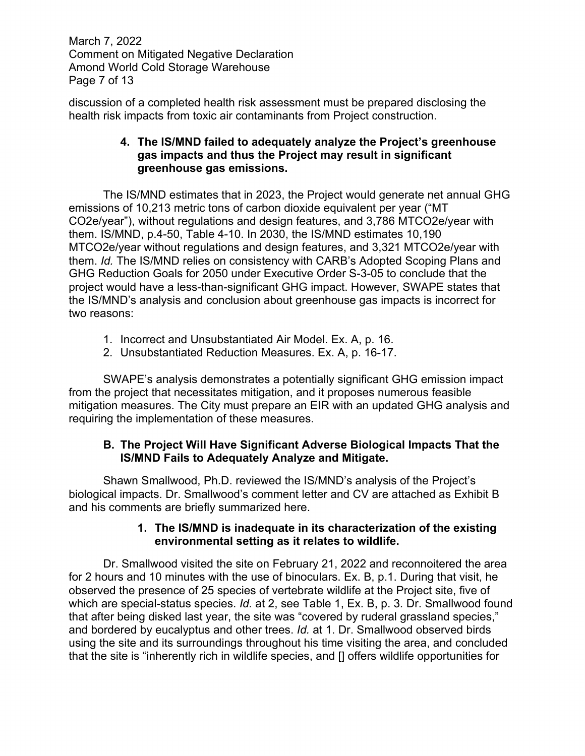March 7, 2022 Comment on Mitigated Negative Declaration Amond World Cold Storage Warehouse Page 7 of 13

discussion of a completed health risk assessment must be prepared disclosing the health risk impacts from toxic air contaminants from Project construction.

## **4. The IS/MND failed to adequately analyze the Project's greenhouse gas impacts and thus the Project may result in significant greenhouse gas emissions.**

The IS/MND estimates that in 2023, the Project would generate net annual GHG emissions of 10,213 metric tons of carbon dioxide equivalent per year ("MT CO2e/year"), without regulations and design features, and 3,786 MTCO2e/year with them. IS/MND, p.4-50, Table 4-10. In 2030, the IS/MND estimates 10,190 MTCO2e/year without regulations and design features, and 3,321 MTCO2e/year with them. *Id.* The IS/MND relies on consistency with CARB's Adopted Scoping Plans and GHG Reduction Goals for 2050 under Executive Order S-3-05 to conclude that the project would have a less-than-significant GHG impact. However, SWAPE states that the IS/MND's analysis and conclusion about greenhouse gas impacts is incorrect for two reasons:

- 1. Incorrect and Unsubstantiated Air Model. Ex. A, p. 16.
- 2. Unsubstantiated Reduction Measures. Ex. A, p. 16-17.

SWAPE's analysis demonstrates a potentially significant GHG emission impact from the project that necessitates mitigation, and it proposes numerous feasible mitigation measures. The City must prepare an EIR with an updated GHG analysis and requiring the implementation of these measures.

# **B. The Project Will Have Significant Adverse Biological Impacts That the IS/MND Fails to Adequately Analyze and Mitigate.**

Shawn Smallwood, Ph.D. reviewed the IS/MND's analysis of the Project's biological impacts. Dr. Smallwood's comment letter and CV are attached as Exhibit B and his comments are briefly summarized here.

## **1. The IS/MND is inadequate in its characterization of the existing environmental setting as it relates to wildlife.**

Dr. Smallwood visited the site on February 21, 2022 and reconnoitered the area for 2 hours and 10 minutes with the use of binoculars. Ex. B, p.1. During that visit, he observed the presence of 25 species of vertebrate wildlife at the Project site, five of which are special-status species. *Id.* at 2, see Table 1, Ex. B, p. 3*.* Dr. Smallwood found that after being disked last year, the site was "covered by ruderal grassland species," and bordered by eucalyptus and other trees. *Id.* at 1. Dr. Smallwood observed birds using the site and its surroundings throughout his time visiting the area, and concluded that the site is "inherently rich in wildlife species, and [] offers wildlife opportunities for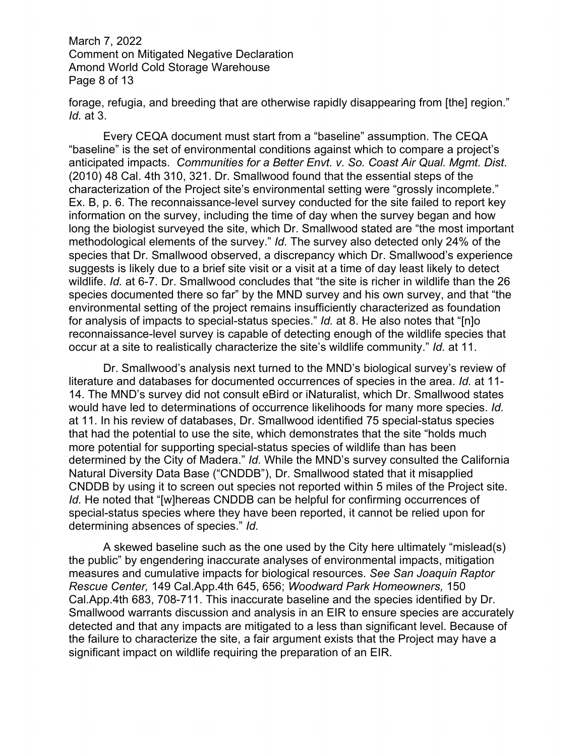March 7, 2022 Comment on Mitigated Negative Declaration Amond World Cold Storage Warehouse Page 8 of 13

forage, refugia, and breeding that are otherwise rapidly disappearing from [the] region." *Id.* at 3.

Every CEQA document must start from a "baseline" assumption. The CEQA "baseline" is the set of environmental conditions against which to compare a project's anticipated impacts. *Communities for a Better Envt. v. So. Coast Air Qual. Mgmt. Dist*. (2010) 48 Cal. 4th 310, 321. Dr. Smallwood found that the essential steps of the characterization of the Project site's environmental setting were "grossly incomplete." Ex. B, p. 6. The reconnaissance-level survey conducted for the site failed to report key information on the survey, including the time of day when the survey began and how long the biologist surveyed the site, which Dr. Smallwood stated are "the most important methodological elements of the survey." *Id.* The survey also detected only 24% of the species that Dr. Smallwood observed, a discrepancy which Dr. Smallwood's experience suggests is likely due to a brief site visit or a visit at a time of day least likely to detect wildlife. *Id.* at 6-7. Dr. Smallwood concludes that "the site is richer in wildlife than the 26 species documented there so far" by the MND survey and his own survey, and that "the environmental setting of the project remains insufficiently characterized as foundation for analysis of impacts to special-status species." *Id.* at 8. He also notes that "[n]o reconnaissance-level survey is capable of detecting enough of the wildlife species that occur at a site to realistically characterize the site's wildlife community." *Id.* at 11.

Dr. Smallwood's analysis next turned to the MND's biological survey's review of literature and databases for documented occurrences of species in the area. *Id.* at 11- 14. The MND's survey did not consult eBird or iNaturalist, which Dr. Smallwood states would have led to determinations of occurrence likelihoods for many more species. *Id.* at 11. In his review of databases, Dr. Smallwood identified 75 special-status species that had the potential to use the site, which demonstrates that the site "holds much more potential for supporting special-status species of wildlife than has been determined by the City of Madera." *Id.* While the MND's survey consulted the California Natural Diversity Data Base ("CNDDB"), Dr. Smallwood stated that it misapplied CNDDB by using it to screen out species not reported within 5 miles of the Project site. *Id.* He noted that "[w]hereas CNDDB can be helpful for confirming occurrences of special-status species where they have been reported, it cannot be relied upon for determining absences of species." *Id.*

A skewed baseline such as the one used by the City here ultimately "mislead(s) the public" by engendering inaccurate analyses of environmental impacts, mitigation measures and cumulative impacts for biological resources. *See San Joaquin Raptor Rescue Center,* 149 Cal.App.4th 645, 656; *Woodward Park Homeowners,* 150 Cal.App.4th 683, 708-711. This inaccurate baseline and the species identified by Dr. Smallwood warrants discussion and analysis in an EIR to ensure species are accurately detected and that any impacts are mitigated to a less than significant level. Because of the failure to characterize the site, a fair argument exists that the Project may have a significant impact on wildlife requiring the preparation of an EIR.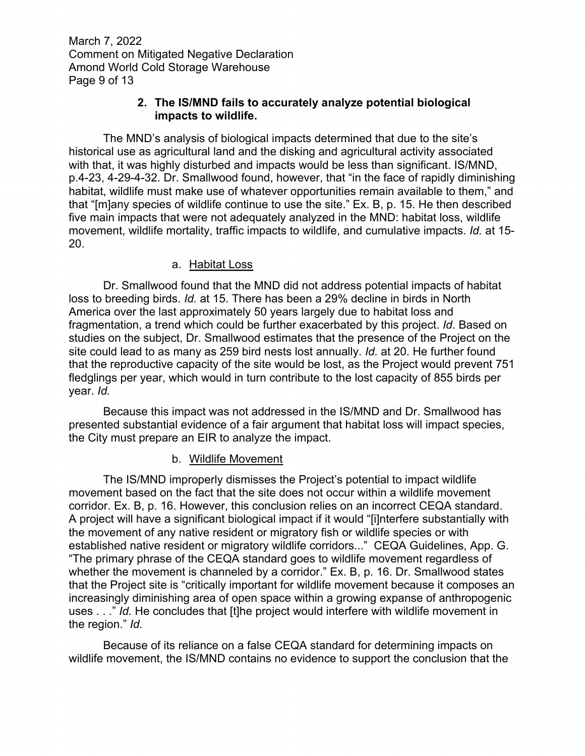March 7, 2022 Comment on Mitigated Negative Declaration Amond World Cold Storage Warehouse Page 9 of 13

#### **2. The IS/MND fails to accurately analyze potential biological impacts to wildlife.**

The MND's analysis of biological impacts determined that due to the site's historical use as agricultural land and the disking and agricultural activity associated with that, it was highly disturbed and impacts would be less than significant. IS/MND, p.4-23, 4-29-4-32. Dr. Smallwood found, however, that "in the face of rapidly diminishing habitat, wildlife must make use of whatever opportunities remain available to them," and that "[m]any species of wildlife continue to use the site." Ex. B, p. 15. He then described five main impacts that were not adequately analyzed in the MND: habitat loss, wildlife movement, wildlife mortality, traffic impacts to wildlife, and cumulative impacts. *Id.* at 15- 20.

## a. Habitat Loss

Dr. Smallwood found that the MND did not address potential impacts of habitat loss to breeding birds. *Id.* at 15. There has been a 29% decline in birds in North America over the last approximately 50 years largely due to habitat loss and fragmentation, a trend which could be further exacerbated by this project. *Id*. Based on studies on the subject, Dr. Smallwood estimates that the presence of the Project on the site could lead to as many as 259 bird nests lost annually. *Id.* at 20. He further found that the reproductive capacity of the site would be lost, as the Project would prevent 751 fledglings per year, which would in turn contribute to the lost capacity of 855 birds per year. *Id.* 

Because this impact was not addressed in the IS/MND and Dr. Smallwood has presented substantial evidence of a fair argument that habitat loss will impact species, the City must prepare an EIR to analyze the impact.

# b. Wildlife Movement

The IS/MND improperly dismisses the Project's potential to impact wildlife movement based on the fact that the site does not occur within a wildlife movement corridor. Ex. B, p. 16. However, this conclusion relies on an incorrect CEQA standard. A project will have a significant biological impact if it would "[i]nterfere substantially with the movement of any native resident or migratory fish or wildlife species or with established native resident or migratory wildlife corridors..." CEQA Guidelines, App. G. "The primary phrase of the CEQA standard goes to wildlife movement regardless of whether the movement is channeled by a corridor." Ex. B, p. 16. Dr. Smallwood states that the Project site is "critically important for wildlife movement because it composes an increasingly diminishing area of open space within a growing expanse of anthropogenic uses . . ." *Id.* He concludes that [t]he project would interfere with wildlife movement in the region." *Id.*

Because of its reliance on a false CEQA standard for determining impacts on wildlife movement, the IS/MND contains no evidence to support the conclusion that the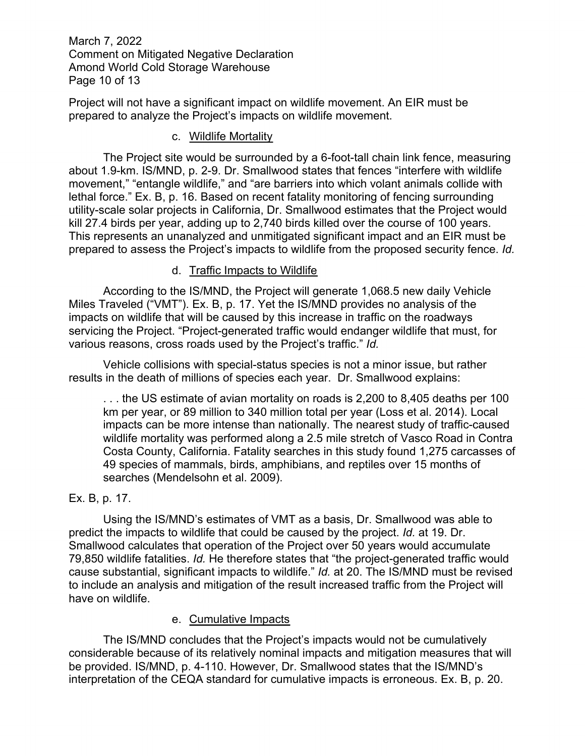March 7, 2022 Comment on Mitigated Negative Declaration Amond World Cold Storage Warehouse Page 10 of 13

Project will not have a significant impact on wildlife movement. An EIR must be prepared to analyze the Project's impacts on wildlife movement.

#### c. Wildlife Mortality

The Project site would be surrounded by a 6-foot-tall chain link fence, measuring about 1.9-km. IS/MND, p. 2-9. Dr. Smallwood states that fences "interfere with wildlife movement," "entangle wildlife," and "are barriers into which volant animals collide with lethal force." Ex. B, p. 16. Based on recent fatality monitoring of fencing surrounding utility-scale solar projects in California, Dr. Smallwood estimates that the Project would kill 27.4 birds per year, adding up to 2,740 birds killed over the course of 100 years. This represents an unanalyzed and unmitigated significant impact and an EIR must be prepared to assess the Project's impacts to wildlife from the proposed security fence. *Id.*

## d. Traffic Impacts to Wildlife

According to the IS/MND, the Project will generate 1,068.5 new daily Vehicle Miles Traveled ("VMT"). Ex. B, p. 17. Yet the IS/MND provides no analysis of the impacts on wildlife that will be caused by this increase in traffic on the roadways servicing the Project. "Project-generated traffic would endanger wildlife that must, for various reasons, cross roads used by the Project's traffic." *Id.*

Vehicle collisions with special-status species is not a minor issue, but rather results in the death of millions of species each year. Dr. Smallwood explains:

. . . the US estimate of avian mortality on roads is 2,200 to 8,405 deaths per 100 km per year, or 89 million to 340 million total per year (Loss et al. 2014). Local impacts can be more intense than nationally. The nearest study of traffic-caused wildlife mortality was performed along a 2.5 mile stretch of Vasco Road in Contra Costa County, California. Fatality searches in this study found 1,275 carcasses of 49 species of mammals, birds, amphibians, and reptiles over 15 months of searches (Mendelsohn et al. 2009).

# Ex. B, p. 17.

Using the IS/MND's estimates of VMT as a basis, Dr. Smallwood was able to predict the impacts to wildlife that could be caused by the project. *Id.* at 19. Dr. Smallwood calculates that operation of the Project over 50 years would accumulate 79,850 wildlife fatalities. *Id.* He therefore states that "the project-generated traffic would cause substantial, significant impacts to wildlife." *Id.* at 20. The IS/MND must be revised to include an analysis and mitigation of the result increased traffic from the Project will have on wildlife.

#### e. Cumulative Impacts

 The IS/MND concludes that the Project's impacts would not be cumulatively considerable because of its relatively nominal impacts and mitigation measures that will be provided. IS/MND, p. 4-110. However, Dr. Smallwood states that the IS/MND's interpretation of the CEQA standard for cumulative impacts is erroneous. Ex. B, p. 20.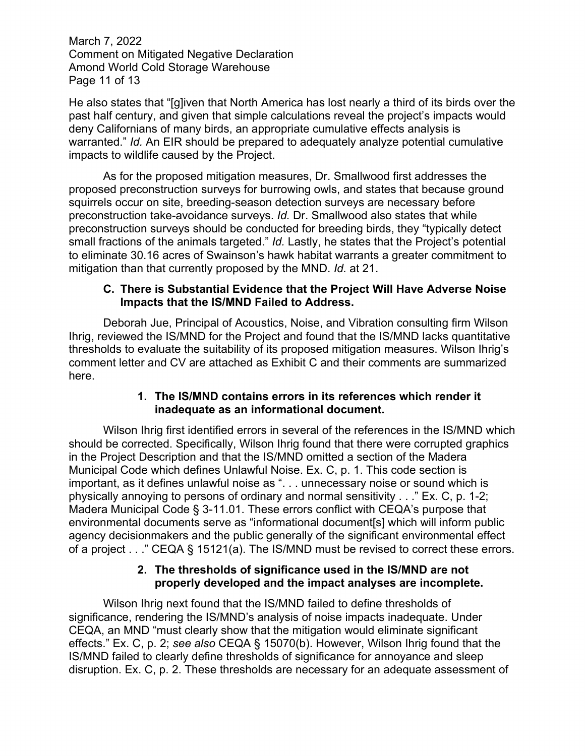March 7, 2022 Comment on Mitigated Negative Declaration Amond World Cold Storage Warehouse Page 11 of 13

He also states that "[g]iven that North America has lost nearly a third of its birds over the past half century, and given that simple calculations reveal the project's impacts would deny Californians of many birds, an appropriate cumulative effects analysis is warranted." *Id.* An EIR should be prepared to adequately analyze potential cumulative impacts to wildlife caused by the Project.

As for the proposed mitigation measures, Dr. Smallwood first addresses the proposed preconstruction surveys for burrowing owls, and states that because ground squirrels occur on site, breeding-season detection surveys are necessary before preconstruction take-avoidance surveys. *Id.* Dr. Smallwood also states that while preconstruction surveys should be conducted for breeding birds, they "typically detect small fractions of the animals targeted." *Id.* Lastly, he states that the Project's potential to eliminate 30.16 acres of Swainson's hawk habitat warrants a greater commitment to mitigation than that currently proposed by the MND. *Id.* at 21.

#### **C. There is Substantial Evidence that the Project Will Have Adverse Noise Impacts that the IS/MND Failed to Address.**

Deborah Jue, Principal of Acoustics, Noise, and Vibration consulting firm Wilson Ihrig, reviewed the IS/MND for the Project and found that the IS/MND lacks quantitative thresholds to evaluate the suitability of its proposed mitigation measures. Wilson Ihrig's comment letter and CV are attached as Exhibit C and their comments are summarized here.

## **1. The IS/MND contains errors in its references which render it inadequate as an informational document.**

Wilson Ihrig first identified errors in several of the references in the IS/MND which should be corrected. Specifically, Wilson Ihrig found that there were corrupted graphics in the Project Description and that the IS/MND omitted a section of the Madera Municipal Code which defines Unlawful Noise. Ex. C, p. 1. This code section is important, as it defines unlawful noise as ". . . unnecessary noise or sound which is physically annoying to persons of ordinary and normal sensitivity . . ." Ex. C, p. 1-2; Madera Municipal Code § 3-11.01. These errors conflict with CEQA's purpose that environmental documents serve as "informational document[s] which will inform public agency decisionmakers and the public generally of the significant environmental effect of a project . . ." CEQA § 15121(a). The IS/MND must be revised to correct these errors.

## **2. The thresholds of significance used in the IS/MND are not properly developed and the impact analyses are incomplete.**

Wilson Ihrig next found that the IS/MND failed to define thresholds of significance, rendering the IS/MND's analysis of noise impacts inadequate. Under CEQA, an MND "must clearly show that the mitigation would eliminate significant effects." Ex. C, p. 2; *see also* CEQA § 15070(b). However, Wilson Ihrig found that the IS/MND failed to clearly define thresholds of significance for annoyance and sleep disruption. Ex. C, p. 2. These thresholds are necessary for an adequate assessment of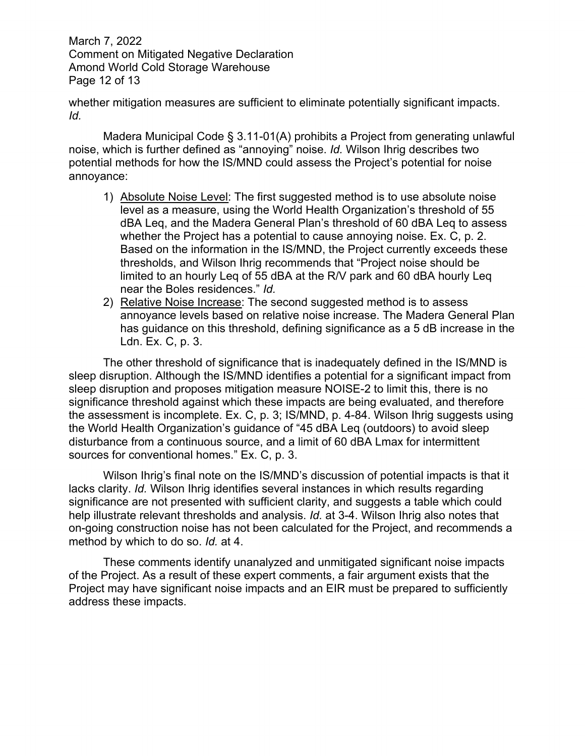March 7, 2022 Comment on Mitigated Negative Declaration Amond World Cold Storage Warehouse Page 12 of 13

whether mitigation measures are sufficient to eliminate potentially significant impacts. *Id.*

Madera Municipal Code § 3.11-01(A) prohibits a Project from generating unlawful noise, which is further defined as "annoying" noise. *Id.* Wilson Ihrig describes two potential methods for how the IS/MND could assess the Project's potential for noise annoyance:

- 1) Absolute Noise Level: The first suggested method is to use absolute noise level as a measure, using the World Health Organization's threshold of 55 dBA Leq, and the Madera General Plan's threshold of 60 dBA Leq to assess whether the Project has a potential to cause annoying noise. Ex. C, p. 2. Based on the information in the IS/MND, the Project currently exceeds these thresholds, and Wilson Ihrig recommends that "Project noise should be limited to an hourly Leq of 55 dBA at the R/V park and 60 dBA hourly Leq near the Boles residences." *Id.*
- 2) Relative Noise Increase: The second suggested method is to assess annoyance levels based on relative noise increase. The Madera General Plan has guidance on this threshold, defining significance as a 5 dB increase in the Ldn. Ex. C, p. 3.

The other threshold of significance that is inadequately defined in the IS/MND is sleep disruption. Although the IS/MND identifies a potential for a significant impact from sleep disruption and proposes mitigation measure NOISE-2 to limit this, there is no significance threshold against which these impacts are being evaluated, and therefore the assessment is incomplete. Ex. C, p. 3; IS/MND, p. 4-84. Wilson Ihrig suggests using the World Health Organization's guidance of "45 dBA Leq (outdoors) to avoid sleep disturbance from a continuous source, and a limit of 60 dBA Lmax for intermittent sources for conventional homes." Ex. C, p. 3.

 Wilson Ihrig's final note on the IS/MND's discussion of potential impacts is that it lacks clarity. *Id.* Wilson Ihrig identifies several instances in which results regarding significance are not presented with sufficient clarity, and suggests a table which could help illustrate relevant thresholds and analysis. *Id.* at 3-4. Wilson Ihrig also notes that on-going construction noise has not been calculated for the Project, and recommends a method by which to do so. *Id.* at 4.

 These comments identify unanalyzed and unmitigated significant noise impacts of the Project. As a result of these expert comments, a fair argument exists that the Project may have significant noise impacts and an EIR must be prepared to sufficiently address these impacts.